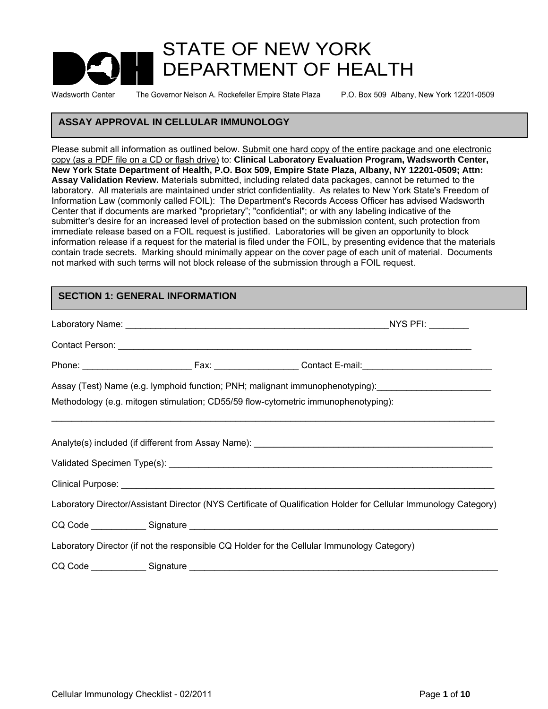# STATE OF NEW YORK DEPARTMENT OF HEALTH

Wadsworth Center The Governor Nelson A. Rockefeller Empire State Plaza P.O. Box 509 Albany, New York 12201-0509

## **ASSAY APPROVAL IN CELLULAR IMMUNOLOGY**

Please submit all information as outlined below. Submit one hard copy of the entire package and one electronic copy (as a PDF file on a CD or flash drive) to: **Clinical Laboratory Evaluation Program, Wadsworth Center, New York State Department of Health, P.O. Box 509, Empire State Plaza, Albany, NY 12201-0509; Attn: Assay Validation Review.** Materials submitted, including related data packages, cannot be returned to the laboratory. All materials are maintained under strict confidentiality. As relates to New York State's Freedom of Information Law (commonly called FOIL): The Department's Records Access Officer has advised Wadsworth Center that if documents are marked "proprietary"; "confidential"; or with any labeling indicative of the submitter's desire for an increased level of protection based on the submission content, such protection from immediate release based on a FOIL request is justified. Laboratories will be given an opportunity to block information release if a request for the material is filed under the FOIL, by presenting evidence that the materials contain trade secrets. Marking should minimally appear on the cover page of each unit of material. Documents not marked with such terms will not block release of the submission through a FOIL request.

#### **SECTION 1: GENERAL INFORMATION**

|  | $_N$ YS PFI: _________                                                                                            |
|--|-------------------------------------------------------------------------------------------------------------------|
|  |                                                                                                                   |
|  |                                                                                                                   |
|  | Assay (Test) Name (e.g. lymphoid function; PNH; malignant immunophenotyping):                                     |
|  | Methodology (e.g. mitogen stimulation; CD55/59 flow-cytometric immunophenotyping):                                |
|  |                                                                                                                   |
|  |                                                                                                                   |
|  |                                                                                                                   |
|  |                                                                                                                   |
|  | Laboratory Director/Assistant Director (NYS Certificate of Qualification Holder for Cellular Immunology Category) |
|  |                                                                                                                   |
|  | Laboratory Director (if not the responsible CQ Holder for the Cellular Immunology Category)                       |
|  |                                                                                                                   |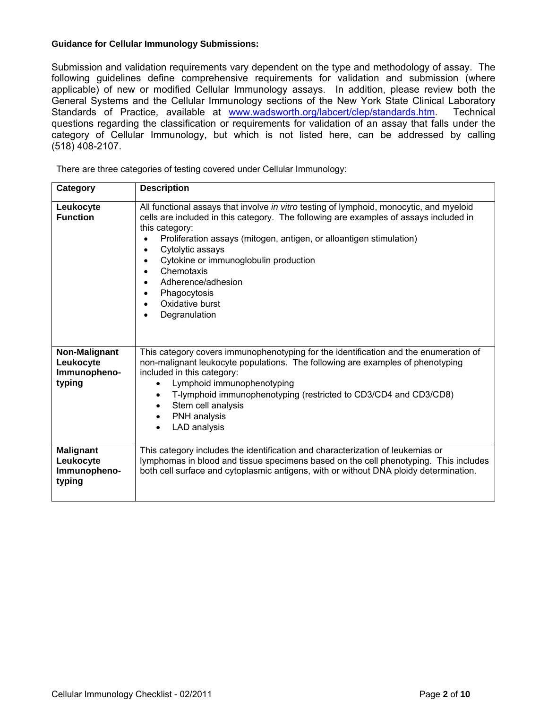#### **Guidance for Cellular Immunology Submissions:**

Submission and validation requirements vary dependent on the type and methodology of assay. The following guidelines define comprehensive requirements for validation and submission (where applicable) of new or modified Cellular Immunology assays. In addition, please review both the General Systems and the Cellular Immunology sections of the New York State Clinical Laboratory Standards of Practice, available at www.wadsworth.org/labcert/clep/standards.htm. Technical questions regarding the classification or requirements for validation of an assay that falls under the category of Cellular Immunology, but which is not listed here, can be addressed by calling (518) 408-2107.

There are three categories of testing covered under Cellular Immunology:

| Category                                                | <b>Description</b>                                                                                                                                                                                                                                                                                                                                                                                                                                       |
|---------------------------------------------------------|----------------------------------------------------------------------------------------------------------------------------------------------------------------------------------------------------------------------------------------------------------------------------------------------------------------------------------------------------------------------------------------------------------------------------------------------------------|
| Leukocyte<br><b>Function</b>                            | All functional assays that involve in vitro testing of lymphoid, monocytic, and myeloid<br>cells are included in this category. The following are examples of assays included in<br>this category:<br>Proliferation assays (mitogen, antigen, or alloantigen stimulation)<br>Cytolytic assays<br>$\bullet$<br>Cytokine or immunoglobulin production<br>Chemotaxis<br>Adherence/adhesion<br>Phagocytosis<br>Oxidative burst<br>$\bullet$<br>Degranulation |
| Non-Malignant<br>Leukocyte<br>Immunopheno-<br>typing    | This category covers immunophenotyping for the identification and the enumeration of<br>non-malignant leukocyte populations. The following are examples of phenotyping<br>included in this category:<br>Lymphoid immunophenotyping<br>$\bullet$<br>T-lymphoid immunophenotyping (restricted to CD3/CD4 and CD3/CD8)<br>Stem cell analysis<br>$\bullet$<br>PNH analysis<br>$\bullet$<br>LAD analysis<br>$\bullet$                                         |
| <b>Malignant</b><br>Leukocyte<br>Immunopheno-<br>typing | This category includes the identification and characterization of leukemias or<br>lymphomas in blood and tissue specimens based on the cell phenotyping. This includes<br>both cell surface and cytoplasmic antigens, with or without DNA ploidy determination.                                                                                                                                                                                          |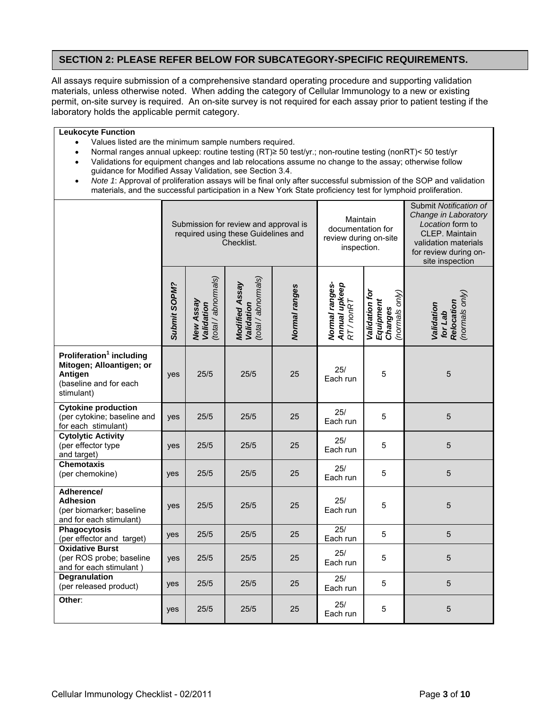## **SECTION 2: PLEASE REFER BELOW FOR SUBCATEGORY-SPECIFIC REQUIREMENTS.**

All assays require submission of a comprehensive standard operating procedure and supporting validation materials, unless otherwise noted. When adding the category of Cellular Immunology to a new or existing permit, on-site survey is required. An on-site survey is not required for each assay prior to patient testing if the laboratory holds the applicable permit category.

#### **Leukocyte Function**

- Values listed are the minimum sample numbers required.
- Normal ranges annual upkeep: routine testing (RT)≥ 50 test/yr.; non-routine testing (nonRT)< 50 test/yr
- Validations for equipment changes and lab relocations assume no change to the assay; otherwise follow guidance for Modified Assay Validation, see Section 3.4.
- *Note 1*: Approval of proliferation assays will be final only after successful submission of the SOP and validation materials, and the successful participation in a New York State proficiency test for lymphoid proliferation.

|                                                                                                                     |              | Submission for review and approval is<br>required using these Guidelines and<br>Checklist. |                                                     |               | Maintain<br>documentation for<br>review during on-site<br>inspection. |                                                          | Submit Notification of<br>Change in Laboratory<br>Location form to<br>CLEP. Maintain<br>validation materials<br>for review during on-<br>site inspection |
|---------------------------------------------------------------------------------------------------------------------|--------------|--------------------------------------------------------------------------------------------|-----------------------------------------------------|---------------|-----------------------------------------------------------------------|----------------------------------------------------------|----------------------------------------------------------------------------------------------------------------------------------------------------------|
|                                                                                                                     | Submit SOPM? | (total / abnormals)<br>New Assay<br>Validation                                             | (total / abnormals)<br>Modified Assay<br>Validation | Normal ranges | Normal ranges-<br><b>Annual upkeep</b><br>RT/nonRT                    | Validation for<br>(normals only)<br>Equipment<br>Changes | (normals only)<br>Relocation<br>Validation<br>for Lab                                                                                                    |
| Proliferation <sup>1</sup> including<br>Mitogen; Alloantigen; or<br>Antigen<br>(baseline and for each<br>stimulant) | yes          | 25/5                                                                                       | 25/5                                                | 25            | 25/<br>Each run                                                       | 5                                                        | $\overline{5}$                                                                                                                                           |
| <b>Cytokine production</b><br>(per cytokine; baseline and<br>for each stimulant)                                    | yes          | 25/5                                                                                       | 25/5                                                | 25            | 25/<br>Each run                                                       | 5                                                        | $\overline{5}$                                                                                                                                           |
| <b>Cytolytic Activity</b><br>(per effector type<br>and target)                                                      | yes          | 25/5                                                                                       | 25/5                                                | 25            | 25/<br>Each run                                                       | 5                                                        | $\overline{5}$                                                                                                                                           |
| <b>Chemotaxis</b><br>(per chemokine)                                                                                | yes          | 25/5                                                                                       | 25/5                                                | 25            | 25/<br>Each run                                                       | 5                                                        | $\overline{5}$                                                                                                                                           |
| Adherence/<br><b>Adhesion</b><br>(per biomarker; baseline<br>and for each stimulant)                                | yes          | 25/5                                                                                       | 25/5                                                | 25            | 25/<br>Each run                                                       | 5                                                        | $\overline{5}$                                                                                                                                           |
| Phagocytosis<br>(per effector and target)                                                                           | yes          | 25/5                                                                                       | 25/5                                                | 25            | 25/<br>Each run                                                       | 5                                                        | $\overline{5}$                                                                                                                                           |
| <b>Oxidative Burst</b><br>(per ROS probe; baseline<br>and for each stimulant)                                       | yes          | 25/5                                                                                       | 25/5                                                | 25            | 25/<br>Each run                                                       | 5                                                        | $\overline{5}$                                                                                                                                           |
| Degranulation<br>(per released product)                                                                             | yes          | 25/5                                                                                       | 25/5                                                | 25            | 25/<br>Each run                                                       | 5                                                        | $\overline{5}$                                                                                                                                           |
| Other:                                                                                                              | yes          | 25/5                                                                                       | 25/5                                                | 25            | 25/<br>Each run                                                       | 5                                                        | $\overline{5}$                                                                                                                                           |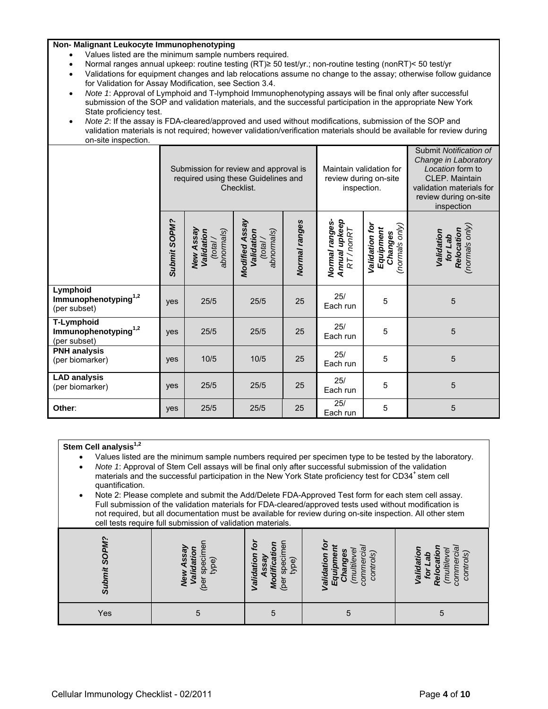#### **Non- Malignant Leukocyte Immunophenotyping**

- Values listed are the minimum sample numbers required.
- Normal ranges annual upkeep: routine testing (RT)≥ 50 test/yr.; non-routine testing (nonRT)< 50 test/yr
- Validations for equipment changes and lab relocations assume no change to the assay; otherwise follow guidance for Validation for Assay Modification, see Section 3.4.
- *Note 1*: Approval of Lymphoid and T-lymphoid Immunophenotyping assays will be final only after successful submission of the SOP and validation materials, and the successful participation in the appropriate New York State proficiency test.
- *Note 2*: If the assay is FDA-cleared/approved and used without modifications, submission of the SOP and validation materials is not required; however validation/verification materials should be available for review during on-site inspection.

|                                                                | Submission for review and approval is<br>required using these Guidelines and<br>Checklist. |                                                 |                                                           |               | Maintain validation for<br>review during on-site<br>inspection. |                                                          | Submit Notification of<br>Change in Laboratory<br>Location form to<br><b>CLEP. Maintain</b><br>validation materials for<br>review during on-site<br>inspection |
|----------------------------------------------------------------|--------------------------------------------------------------------------------------------|-------------------------------------------------|-----------------------------------------------------------|---------------|-----------------------------------------------------------------|----------------------------------------------------------|----------------------------------------------------------------------------------------------------------------------------------------------------------------|
|                                                                | Submit SOPM?                                                                               | New Assay<br>Validation<br>abnormals)<br>(tota) | Modified Assay<br>Validation<br>abnormals)<br>$(t$ otal / | Normal ranges | Normal ranges-<br>Annual upkeep<br>RT/nonRT                     | Validation for<br>(normals only)<br>Equipment<br>Changes | (normals only)<br>Relocation<br>Validation<br>for Lab                                                                                                          |
| Lymphoid<br>Immunophenotyping <sup>1,2</sup><br>(per subset)   | yes                                                                                        | 25/5                                            | 25/5                                                      | 25            | 25/<br>Each run                                                 | 5                                                        | 5                                                                                                                                                              |
| T-Lymphoid<br>Immunophenotyping <sup>1,2</sup><br>(per subset) | yes                                                                                        | 25/5                                            | 25/5                                                      | 25            | 25/<br>Each run                                                 | 5                                                        | 5                                                                                                                                                              |
| <b>PNH</b> analysis<br>(per biomarker)                         | yes                                                                                        | 10/5                                            | 10/5                                                      | 25            | 25/<br>Each run                                                 | 5                                                        | 5                                                                                                                                                              |
| <b>LAD analysis</b><br>(per biomarker)                         | yes                                                                                        | 25/5                                            | 25/5                                                      | 25            | 25/<br>Each run                                                 | 5                                                        | 5                                                                                                                                                              |
| Other:                                                         | yes                                                                                        | 25/5                                            | 25/5                                                      | 25            | 25/<br>Each run                                                 | 5                                                        | 5                                                                                                                                                              |

| Stem Cell analysis <sup>1,2</sup><br>$\bullet$<br>$\bullet$<br>quantification.<br>$\bullet$ | Values listed are the minimum sample numbers required per specimen type to be tested by the laboratory.<br>Note 1: Approval of Stem Cell assays will be final only after successful submission of the validation<br>materials and the successful participation in the New York State proficiency test for CD34 <sup>+</sup> stem cell<br>Note 2: Please complete and submit the Add/Delete FDA-Approved Test form for each stem cell assay.<br>Full submission of the validation materials for FDA-cleared/approved tests used without modification is<br>not required, but all documentation must be available for review during on-site inspection. All other stem<br>cell tests require full submission of validation materials. |                                                             |                                                                       |                                            |
|---------------------------------------------------------------------------------------------|-------------------------------------------------------------------------------------------------------------------------------------------------------------------------------------------------------------------------------------------------------------------------------------------------------------------------------------------------------------------------------------------------------------------------------------------------------------------------------------------------------------------------------------------------------------------------------------------------------------------------------------------------------------------------------------------------------------------------------------|-------------------------------------------------------------|-----------------------------------------------------------------------|--------------------------------------------|
| Submit SOPM?<br>specir<br>type)<br>œ                                                        |                                                                                                                                                                                                                                                                                                                                                                                                                                                                                                                                                                                                                                                                                                                                     | Modificati<br>specin<br>Validation<br>Assay<br>type)<br>Jac | controls<br>multilev<br><b>commerc</b><br>Equipm<br>alidatio<br>Chang | alidatic<br>controls<br>multilev<br>commer |
| Yes                                                                                         | 5                                                                                                                                                                                                                                                                                                                                                                                                                                                                                                                                                                                                                                                                                                                                   | 5                                                           | 5                                                                     | 5                                          |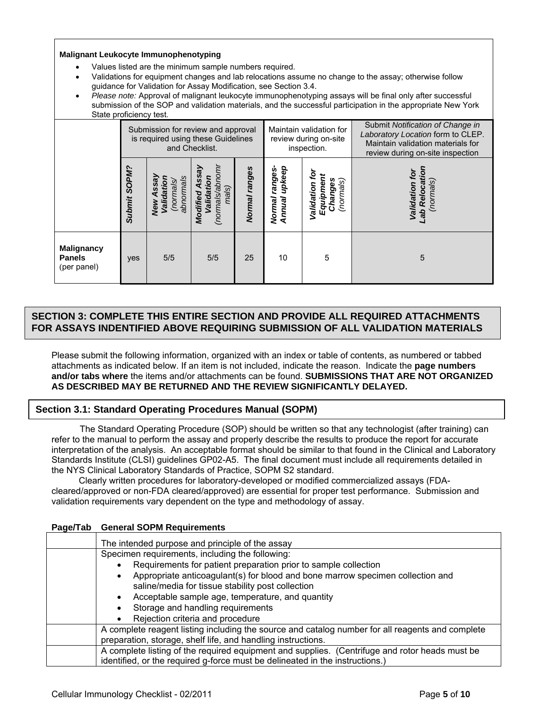**Malignant Leukocyte Immunophenotyping** 

- Values listed are the minimum sample numbers required.
- Validations for equipment changes and lab relocations assume no change to the assay; otherwise follow guidance for Validation for Assay Modification, see Section 3.4.
- *Please note:* Approval of malignant leukocyte immunophenotyping assays will be final only after successful submission of the SOP and validation materials, and the successful participation in the appropriate New York State proficiency test.

|                                                   |              | Submission for review and approval<br>is required using these Guidelines | and Checklist.                                  |               |                                      | Maintain validation for<br>review during on-site<br>inspection. | Submit Notification of Change in<br>Laboratory Location form to CLEP.<br>Maintain validation materials for<br>review during on-site inspection |
|---------------------------------------------------|--------------|--------------------------------------------------------------------------|-------------------------------------------------|---------------|--------------------------------------|-----------------------------------------------------------------|------------------------------------------------------------------------------------------------------------------------------------------------|
|                                                   | Submit SOPM? | abnormals<br>sleunou)<br>alidatic<br>d<br>New                            | (normals/abno<br>alidation<br>mals)<br>Modified | Normal ranges | upkeep<br>səɓue.<br>Normal<br>Annual | ٥<br>(normals)<br>Changes<br>Equipme<br>Validation              | ē<br>(normals<br>Reloca<br>Validation                                                                                                          |
| <b>Malignancy</b><br><b>Panels</b><br>(per panel) | yes          | 5/5                                                                      | 5/5                                             | 25            | 10                                   | 5                                                               | 5                                                                                                                                              |

#### $\overline{a}$ **SECTION 3: COMPLETE THIS ENTIRE SECTION AND PROVIDE ALL REQUIRED ATTACHMENTS FOR ASSAYS INDENTIFIED ABOVE REQUIRING SUBMISSION OF ALL VALIDATION MATERIALS**

Please submit the following information, organized with an index or table of contents, as numbered or tabbed attachments as indicated below. If an item is not included, indicate the reason. Indicate the **page numbers and/or tabs where** the items and/or attachments can be found. **SUBMISSIONS THAT ARE NOT ORGANIZED AS DESCRIBED MAY BE RETURNED AND THE REVIEW SIGNIFICANTLY DELAYED.**

## **Section 3.1: Standard Operating Procedures Manual (SOPM)**

 The Standard Operating Procedure (SOP) should be written so that any technologist (after training) can refer to the manual to perform the assay and properly describe the results to produce the report for accurate interpretation of the analysis. An acceptable format should be similar to that found in the Clinical and Laboratory Standards Institute (CLSI) guidelines GP02-A5. The final document must include all requirements detailed in the NYS Clinical Laboratory Standards of Practice, SOPM S2 standard.

 Clearly written procedures for laboratory-developed or modified commercialized assays (FDAcleared/approved or non-FDA cleared/approved) are essential for proper test performance. Submission and validation requirements vary dependent on the type and methodology of assay.

| Page/Tab | <b>General SOPM Requirements</b>                                                                                                    |  |  |  |  |  |
|----------|-------------------------------------------------------------------------------------------------------------------------------------|--|--|--|--|--|
|          | The intended purpose and principle of the assay                                                                                     |  |  |  |  |  |
|          | Specimen requirements, including the following:                                                                                     |  |  |  |  |  |
|          | Requirements for patient preparation prior to sample collection                                                                     |  |  |  |  |  |
|          | Appropriate anticoagulant(s) for blood and bone marrow specimen collection and<br>saline/media for tissue stability post collection |  |  |  |  |  |
|          | Acceptable sample age, temperature, and quantity                                                                                    |  |  |  |  |  |
|          | Storage and handling requirements<br>٠                                                                                              |  |  |  |  |  |
|          | Rejection criteria and procedure                                                                                                    |  |  |  |  |  |
|          | A complete reagent listing including the source and catalog number for all reagents and complete                                    |  |  |  |  |  |
|          | preparation, storage, shelf life, and handling instructions.                                                                        |  |  |  |  |  |
|          | A complete listing of the required equipment and supplies. (Centrifuge and rotor heads must be                                      |  |  |  |  |  |
|          | identified, or the required g-force must be delineated in the instructions.)                                                        |  |  |  |  |  |

#### **Page/Tab General SOPM Requirements**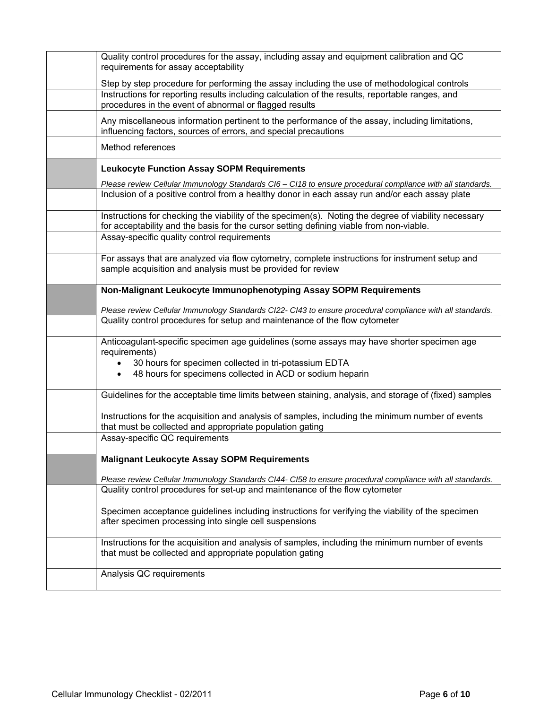| Quality control procedures for the assay, including assay and equipment calibration and QC<br>requirements for assay acceptability                                                              |
|-------------------------------------------------------------------------------------------------------------------------------------------------------------------------------------------------|
| Step by step procedure for performing the assay including the use of methodological controls                                                                                                    |
| Instructions for reporting results including calculation of the results, reportable ranges, and<br>procedures in the event of abnormal or flagged results                                       |
| Any miscellaneous information pertinent to the performance of the assay, including limitations,<br>influencing factors, sources of errors, and special precautions                              |
| Method references                                                                                                                                                                               |
| <b>Leukocyte Function Assay SOPM Requirements</b>                                                                                                                                               |
| Please review Cellular Immunology Standards CI6 - CI18 to ensure procedural compliance with all standards.                                                                                      |
| Inclusion of a positive control from a healthy donor in each assay run and/or each assay plate                                                                                                  |
| Instructions for checking the viability of the specimen(s). Noting the degree of viability necessary<br>for acceptability and the basis for the cursor setting defining viable from non-viable. |
| Assay-specific quality control requirements                                                                                                                                                     |
| For assays that are analyzed via flow cytometry, complete instructions for instrument setup and<br>sample acquisition and analysis must be provided for review                                  |
| Non-Malignant Leukocyte Immunophenotyping Assay SOPM Requirements                                                                                                                               |
| Please review Cellular Immunology Standards CI22- CI43 to ensure procedural compliance with all standards.                                                                                      |
| Quality control procedures for setup and maintenance of the flow cytometer                                                                                                                      |
| Anticoagulant-specific specimen age guidelines (some assays may have shorter specimen age<br>requirements)                                                                                      |
| 30 hours for specimen collected in tri-potassium EDTA                                                                                                                                           |
| 48 hours for specimens collected in ACD or sodium heparin<br>$\bullet$                                                                                                                          |
| Guidelines for the acceptable time limits between staining, analysis, and storage of (fixed) samples                                                                                            |
| Instructions for the acquisition and analysis of samples, including the minimum number of events<br>that must be collected and appropriate population gating                                    |
| Assay-specific QC requirements                                                                                                                                                                  |
| <b>Malignant Leukocyte Assay SOPM Requirements</b>                                                                                                                                              |
| Please review Cellular Immunology Standards CI44- CI58 to ensure procedural compliance with all standards.                                                                                      |
| Quality control procedures for set-up and maintenance of the flow cytometer                                                                                                                     |
| Specimen acceptance guidelines including instructions for verifying the viability of the specimen<br>after specimen processing into single cell suspensions                                     |
| Instructions for the acquisition and analysis of samples, including the minimum number of events<br>that must be collected and appropriate population gating                                    |
| Analysis QC requirements                                                                                                                                                                        |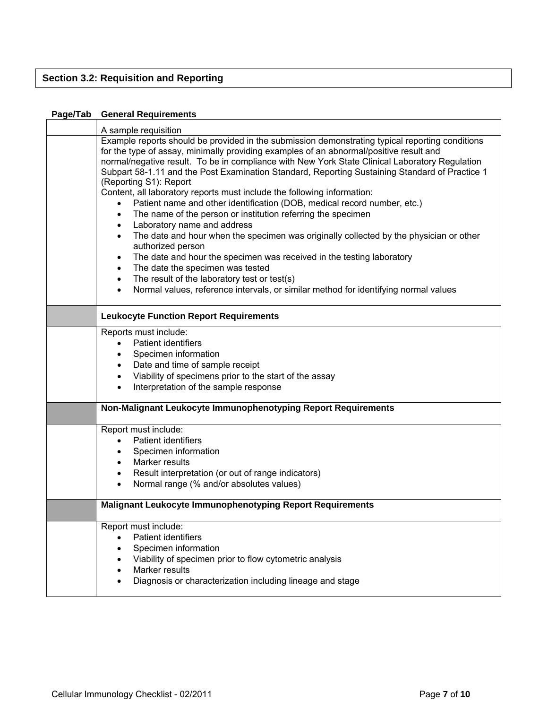## **Section 3.2: Requisition and Reporting**

## **Page/Tab General Requirements**

| A sample requisition                                                                                                                                                                                                                                                                                                                                                                                                                                                                                                                                                                                                                                                                                                                                                                                                                                                                                                                                                                                                                                                                                 |
|------------------------------------------------------------------------------------------------------------------------------------------------------------------------------------------------------------------------------------------------------------------------------------------------------------------------------------------------------------------------------------------------------------------------------------------------------------------------------------------------------------------------------------------------------------------------------------------------------------------------------------------------------------------------------------------------------------------------------------------------------------------------------------------------------------------------------------------------------------------------------------------------------------------------------------------------------------------------------------------------------------------------------------------------------------------------------------------------------|
| Example reports should be provided in the submission demonstrating typical reporting conditions<br>for the type of assay, minimally providing examples of an abnormal/positive result and<br>normal/negative result. To be in compliance with New York State Clinical Laboratory Regulation<br>Subpart 58-1.11 and the Post Examination Standard, Reporting Sustaining Standard of Practice 1<br>(Reporting S1): Report<br>Content, all laboratory reports must include the following information:<br>Patient name and other identification (DOB, medical record number, etc.)<br>The name of the person or institution referring the specimen<br>$\bullet$<br>Laboratory name and address<br>The date and hour when the specimen was originally collected by the physician or other<br>$\bullet$<br>authorized person<br>The date and hour the specimen was received in the testing laboratory<br>$\bullet$<br>The date the specimen was tested<br>The result of the laboratory test or test(s)<br>$\bullet$<br>Normal values, reference intervals, or similar method for identifying normal values |
|                                                                                                                                                                                                                                                                                                                                                                                                                                                                                                                                                                                                                                                                                                                                                                                                                                                                                                                                                                                                                                                                                                      |
| <b>Leukocyte Function Report Requirements</b>                                                                                                                                                                                                                                                                                                                                                                                                                                                                                                                                                                                                                                                                                                                                                                                                                                                                                                                                                                                                                                                        |
| Reports must include:<br>Patient identifiers<br>Specimen information<br>Date and time of sample receipt<br>$\bullet$<br>Viability of specimens prior to the start of the assay<br>$\bullet$<br>Interpretation of the sample response<br>$\bullet$                                                                                                                                                                                                                                                                                                                                                                                                                                                                                                                                                                                                                                                                                                                                                                                                                                                    |
| Non-Malignant Leukocyte Immunophenotyping Report Requirements                                                                                                                                                                                                                                                                                                                                                                                                                                                                                                                                                                                                                                                                                                                                                                                                                                                                                                                                                                                                                                        |
| Report must include:<br>Patient identifiers<br>$\bullet$<br>Specimen information<br>$\bullet$<br>Marker results<br>$\bullet$<br>Result interpretation (or out of range indicators)<br>$\bullet$<br>Normal range (% and/or absolutes values)<br>$\bullet$                                                                                                                                                                                                                                                                                                                                                                                                                                                                                                                                                                                                                                                                                                                                                                                                                                             |
| <b>Malignant Leukocyte Immunophenotyping Report Requirements</b>                                                                                                                                                                                                                                                                                                                                                                                                                                                                                                                                                                                                                                                                                                                                                                                                                                                                                                                                                                                                                                     |
| Report must include:<br><b>Patient identifiers</b><br>Specimen information<br>Viability of specimen prior to flow cytometric analysis<br>Marker results<br>Diagnosis or characterization including lineage and stage                                                                                                                                                                                                                                                                                                                                                                                                                                                                                                                                                                                                                                                                                                                                                                                                                                                                                 |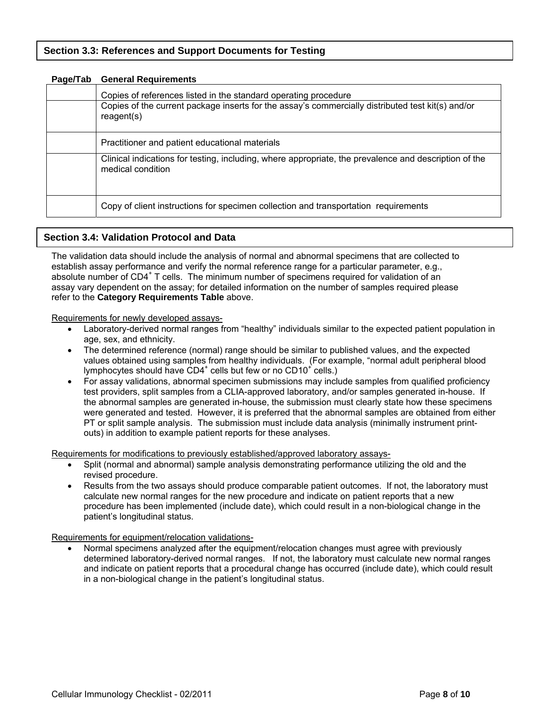| ayu raw | ochoral nogali chichts                                                                                                                                                             |
|---------|------------------------------------------------------------------------------------------------------------------------------------------------------------------------------------|
|         | Copies of references listed in the standard operating procedure<br>Copies of the current package inserts for the assay's commercially distributed test kit(s) and/or<br>reagent(s) |
|         | Practitioner and patient educational materials                                                                                                                                     |
|         | Clinical indications for testing, including, where appropriate, the prevalence and description of the<br>medical condition                                                         |
|         | Copy of client instructions for specimen collection and transportation requirements                                                                                                |

## **Page/Tab General Requirements**

## **Section 3.4: Validation Protocol and Data**

The validation data should include the analysis of normal and abnormal specimens that are collected to establish assay performance and verify the normal reference range for a particular parameter, e.g., absolute number of CD4<sup>+</sup> T cells. The minimum number of specimens required for validation of an assay vary dependent on the assay; for detailed information on the number of samples required please refer to the **Category Requirements Table** above.

Requirements for newly developed assays-

- Laboratory-derived normal ranges from "healthy" individuals similar to the expected patient population in age, sex, and ethnicity.
- The determined reference (normal) range should be similar to published values, and the expected values obtained using samples from healthy individuals. (For example, "normal adult peripheral blood lymphocytes should have  $CD4^+$  cells but few or no  $CD10^+$  cells.)
- For assay validations, abnormal specimen submissions may include samples from qualified proficiency test providers, split samples from a CLIA-approved laboratory, and/or samples generated in-house. If the abnormal samples are generated in-house, the submission must clearly state how these specimens were generated and tested. However, it is preferred that the abnormal samples are obtained from either PT or split sample analysis. The submission must include data analysis (minimally instrument printouts) in addition to example patient reports for these analyses.

Requirements for modifications to previously established/approved laboratory assays-

- Split (normal and abnormal) sample analysis demonstrating performance utilizing the old and the revised procedure.
- Results from the two assays should produce comparable patient outcomes. If not, the laboratory must calculate new normal ranges for the new procedure and indicate on patient reports that a new procedure has been implemented (include date), which could result in a non-biological change in the patient's longitudinal status.

Requirements for equipment/relocation validations-

 Normal specimens analyzed after the equipment/relocation changes must agree with previously determined laboratory-derived normal ranges. If not, the laboratory must calculate new normal ranges and indicate on patient reports that a procedural change has occurred (include date), which could result in a non-biological change in the patient's longitudinal status.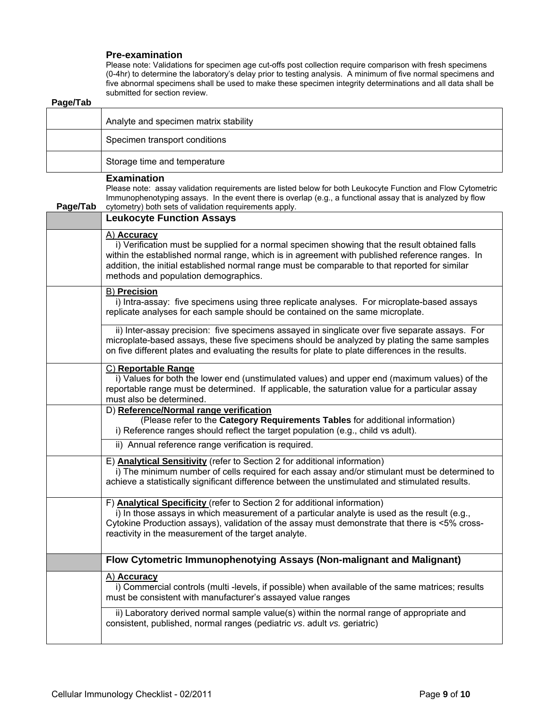#### **Pre-examination**

Please note: Validations for specimen age cut-offs post collection require comparison with fresh specimens (0-4hr) to determine the laboratory's delay prior to testing analysis. A minimum of five normal specimens and five abnormal specimens shall be used to make these specimen integrity determinations and all data shall be submitted for section review.

| Page/Tab |                                                                                                                                                                                                                                                                                                                                                          |
|----------|----------------------------------------------------------------------------------------------------------------------------------------------------------------------------------------------------------------------------------------------------------------------------------------------------------------------------------------------------------|
|          | Analyte and specimen matrix stability                                                                                                                                                                                                                                                                                                                    |
|          | Specimen transport conditions                                                                                                                                                                                                                                                                                                                            |
|          | Storage time and temperature                                                                                                                                                                                                                                                                                                                             |
| Page/Tab | <b>Examination</b><br>Please note: assay validation requirements are listed below for both Leukocyte Function and Flow Cytometric<br>Immunophenotyping assays. In the event there is overlap (e.g., a functional assay that is analyzed by flow<br>cytometry) both sets of validation requirements apply.                                                |
|          | <b>Leukocyte Function Assays</b>                                                                                                                                                                                                                                                                                                                         |
|          | A) Accuracy<br>i) Verification must be supplied for a normal specimen showing that the result obtained falls<br>within the established normal range, which is in agreement with published reference ranges. In<br>addition, the initial established normal range must be comparable to that reported for similar<br>methods and population demographics. |
|          | <b>B) Precision</b><br>i) Intra-assay: five specimens using three replicate analyses. For microplate-based assays<br>replicate analyses for each sample should be contained on the same microplate.                                                                                                                                                      |
|          | ii) Inter-assay precision: five specimens assayed in singlicate over five separate assays. For<br>microplate-based assays, these five specimens should be analyzed by plating the same samples<br>on five different plates and evaluating the results for plate to plate differences in the results.                                                     |
|          | C) Reportable Range<br>i) Values for both the lower end (unstimulated values) and upper end (maximum values) of the<br>reportable range must be determined. If applicable, the saturation value for a particular assay<br>must also be determined.                                                                                                       |
|          | D) Reference/Normal range verification<br>(Please refer to the Category Requirements Tables for additional information)<br>i) Reference ranges should reflect the target population (e.g., child vs adult).                                                                                                                                              |
|          | ii) Annual reference range verification is required.                                                                                                                                                                                                                                                                                                     |
|          | E) Analytical Sensitivity (refer to Section 2 for additional information)<br>i) The minimum number of cells required for each assay and/or stimulant must be determined to<br>achieve a statistically significant difference between the unstimulated and stimulated results.                                                                            |
|          | F) Analytical Specificity (refer to Section 2 for additional information)<br>i) In those assays in which measurement of a particular analyte is used as the result (e.g.,<br>Cytokine Production assays), validation of the assay must demonstrate that there is <5% cross-<br>reactivity in the measurement of the target analyte.                      |
|          | Flow Cytometric Immunophenotying Assays (Non-malignant and Malignant)                                                                                                                                                                                                                                                                                    |
|          | A) Accuracy<br>i) Commercial controls (multi-levels, if possible) when available of the same matrices; results<br>must be consistent with manufacturer's assayed value ranges                                                                                                                                                                            |
|          | ii) Laboratory derived normal sample value(s) within the normal range of appropriate and<br>consistent, published, normal ranges (pediatric vs. adult vs. geriatric)                                                                                                                                                                                     |